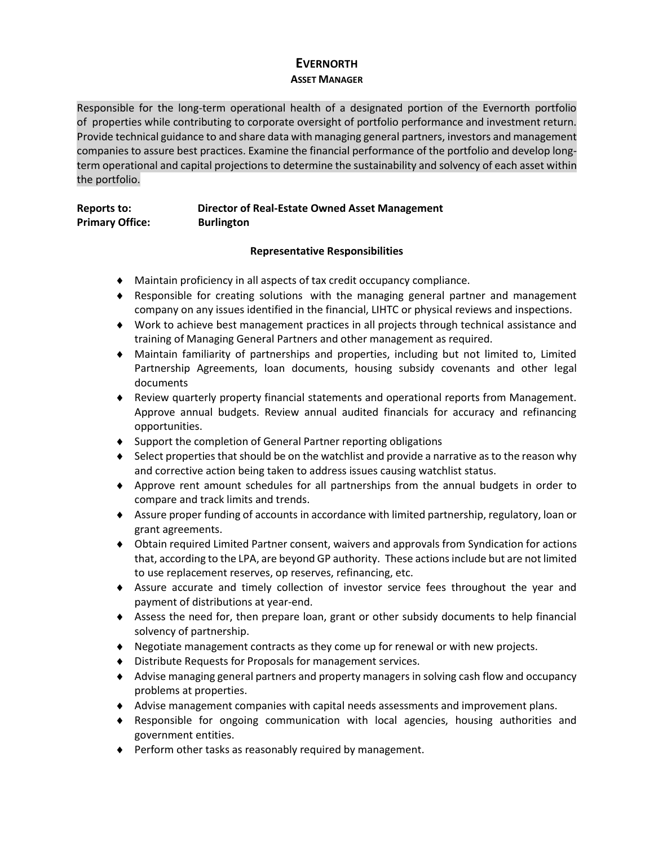# **EVERNORTH ASSET MANAGER**

Responsible for the long-term operational health of a designated portion of the Evernorth portfolio of properties while contributing to corporate oversight of portfolio performance and investment return. Provide technical guidance to and share data with managing general partners, investors and management companies to assure best practices. Examine the financial performance of the portfolio and develop longterm operational and capital projections to determine the sustainability and solvency of each asset within the portfolio.

## **Reports to: Director of Real-Estate Owned Asset Management Primary Office: Burlington**

### **Representative Responsibilities**

- Maintain proficiency in all aspects of tax credit occupancy compliance.
- Responsible for creating solutions with the managing general partner and management company on any issues identified in the financial, LIHTC or physical reviews and inspections.
- Work to achieve best management practices in all projects through technical assistance and training of Managing General Partners and other management as required.
- Maintain familiarity of partnerships and properties, including but not limited to, Limited Partnership Agreements, loan documents, housing subsidy covenants and other legal documents
- Review quarterly property financial statements and operational reports from Management. Approve annual budgets. Review annual audited financials for accuracy and refinancing opportunities.
- ◆ Support the completion of General Partner reporting obligations
- Select properties that should be on the watchlist and provide a narrative as to the reason why and corrective action being taken to address issues causing watchlist status.
- Approve rent amount schedules for all partnerships from the annual budgets in order to compare and track limits and trends.
- Assure proper funding of accounts in accordance with limited partnership, regulatory, loan or grant agreements.
- Obtain required Limited Partner consent, waivers and approvals from Syndication for actions that, according to the LPA, are beyond GP authority. These actions include but are not limited to use replacement reserves, op reserves, refinancing, etc.
- Assure accurate and timely collection of investor service fees throughout the year and payment of distributions at year-end.
- Assess the need for, then prepare loan, grant or other subsidy documents to help financial solvency of partnership.
- Negotiate management contracts as they come up for renewal or with new projects.
- Distribute Requests for Proposals for management services.
- Advise managing general partners and property managers in solving cash flow and occupancy problems at properties.
- Advise management companies with capital needs assessments and improvement plans.
- Responsible for ongoing communication with local agencies, housing authorities and government entities.
- Perform other tasks as reasonably required by management.